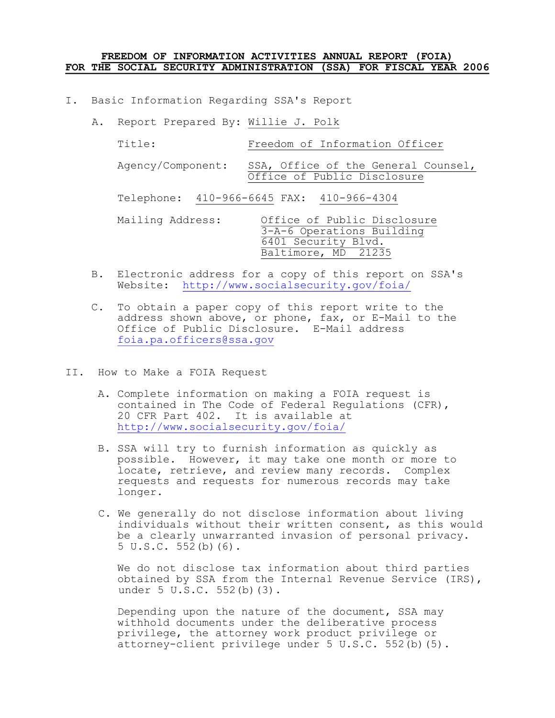#### **FREEDOM OF INFORMATION ACTIVITIES ANNUAL REPORT (FOIA) FOR THE SOCIAL SECURITY ADMINISTRATION (SSA) FOR FISCAL YEAR 2006**

I. Basic Information Regarding SSA's Report

| Α. | Report Prepared By: Willie J. Polk |                                                                                                        |
|----|------------------------------------|--------------------------------------------------------------------------------------------------------|
|    | Title:                             | Freedom of Information Officer                                                                         |
|    | Agency/Component:                  | SSA, Office of the General Counsel,<br>Office of Public Disclosure                                     |
|    |                                    | Telephone: 410-966-6645 FAX: 410-966-4304                                                              |
|    | Mailing Address:                   | Office of Public Disclosure<br>3-A-6 Operations Building<br>6401 Security Blvd.<br>Baltimore, MD 21235 |

- B. Electronic address for a copy of this report on SSA's Website: <http://www.socialsecurity.gov/foia/>
- C. To obtain a paper copy of this report write to the address shown above, or phone, fax, or  $E-Mail$  to the Office of Public Disclosure. E-Mail address [foia.pa.officers@ssa.gov](mailto:www.foia.pa.officers@ssa.gov)
- II. How to Make a FOIA Request
	- A. Complete information on making a FOIA request is contained in The Code of Federal Regulations (CFR), 20 CFR Part 402. It is available at <http://www.socialsecurity.gov/foia/>
	- B. SSA will try to furnish information as quickly as possible. However, it may take one month or more to locate, retrieve, and review many records. Complex requests and requests for numerous records may take longer.
	- C. We generally do not disclose information about living individuals without their written consent, as this would be a clearly unwarranted invasion of personal privacy. 5 U.S.C. 552(b)(6).

We do not disclose tax information about third parties obtained by SSA from the Internal Revenue Service (IRS), under 5 U.S.C. 552(b)(3).

Depending upon the nature of the document, SSA may withhold documents under the deliberative process privilege, the attorney work product privilege or attorney-client privilege under  $5 \text{ U.S.C. } 552 \text{ (b) (5)}.$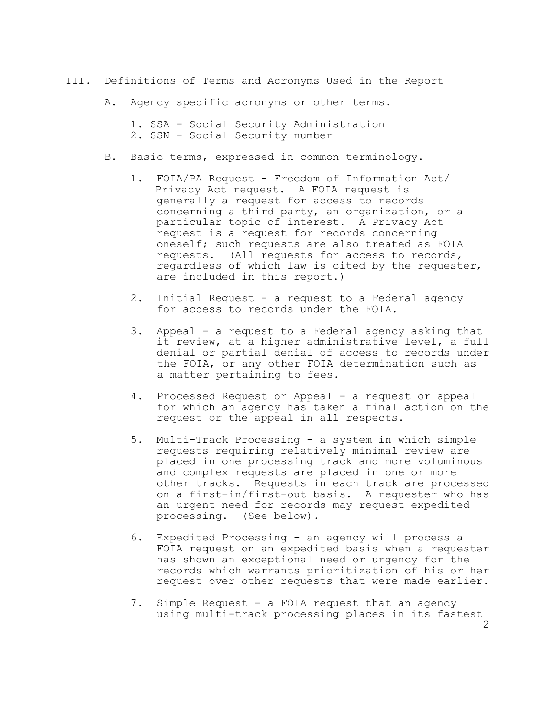- III. Definitions of Terms and Acronyms Used in the Report
	- A. Agency specific acronyms or other terms.

1. SSA - Social Security Administration 2. SSN - Social Security number

- B. Basic terms, expressed in common terminology.
	- 1. FOIA/PA Request Freedom of Information Act/ Privacy Act request. A FOIA request is generally a request for access to records concerning a third party, an organization, or a particular topic of interest. A Privacy Act request is a request for records concerning oneself; such requests are also treated as FOIA requests. (All requests for access to records, regardless of which law is cited by the requester, are included in this report.)
	- 2. Initial Request a request to a Federal agency for access to records under the FOIA.
	- 3. Appeal a request to a Federal agency asking that it review, at a higher administrative level, a full denial or partial denial of access to records under the FOIA, or any other FOIA determination such as a matter pertaining to fees.
	- 4. Processed Request or Appeal a request or appeal for which an agency has taken a final action on the request or the appeal in all respects.
	- 5. Multi-Track Processing a system in which simple requests requiring relatively minimal review are placed in one processing track and more voluminous and complex requests are placed in one or more other tracks. Requests in each track are processed on a first-in/first-out basis. A requester who has an urgent need for records may request expedited processing. (See below).
	- 6. Expedited Processing an agency will process a FOIA request on an expedited basis when a requester has shown an exceptional need or urgency for the records which warrants prioritization of his or her request over other requests that were made earlier.
	- 7. Simple Request a FOIA request that an agency using multi-track processing places in its fastest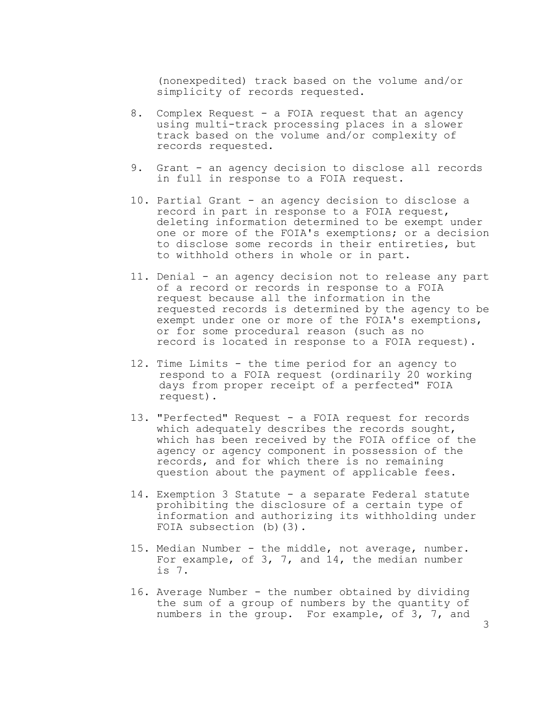(nonexpedited) track based on the volume and/or simplicity of records requested.

- 8. Complex Request a FOIA request that an agency using multi-track processing places in a slower track based on the volume and/or complexity of records requested.
- 9. Grant an agency decision to disclose all records in full in response to a FOIA request.
- 10. Partial Grant an agency decision to disclose a record in part in response to a FOIA request, deleting information determined to be exempt under one or more of the FOIA's exemptions; or a decision to disclose some records in their entireties, but to withhold others in whole or in part.
- 11. Denial an agency decision not to release any part of a record or records in response to a FOIA request because all the information in the requested records is determined by the agency to be exempt under one or more of the FOIA's exemptions, or for some procedural reason (such as no record is located in response to a FOIA request).
- 12. Time Limits the time period for an agency to respond to a FOIA request (ordinarily 20 working days from proper receipt of a perfected" FOIA request).
- 13. "Perfected" Request a FOIA request for records which adequately describes the records sought, which has been received by the FOIA office of the agency or agency component in possession of the records, and for which there is no remaining question about the payment of applicable fees.
- 14. Exemption 3 Statute a separate Federal statute prohibiting the disclosure of a certain type of information and authorizing its withholding under FOIA subsection (b)(3).
- 15. Median Number the middle, not average, number. For example, of 3, 7, and 14, the median number is 7.
- 16. Average Number the number obtained by dividing the sum of a group of numbers by the quantity of numbers in the group. For example, of 3, 7, and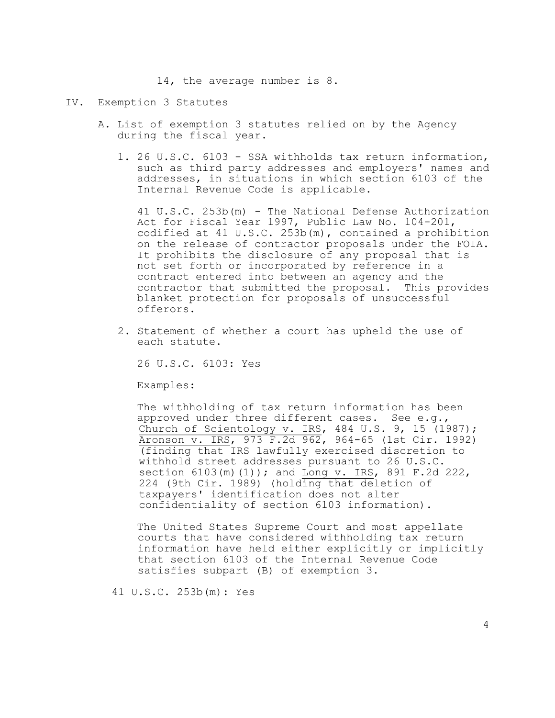14, the average number is 8.

## IV. Exemption 3 Statutes

- A. List of exemption 3 statutes relied on by the Agency during the fiscal year.
	- 1. 26 U.S.C. 6103 SSA withholds tax return information, such as third party addresses and employers' names and addresses, in situations in which section 6103 of the Internal Revenue Code is applicable.

41 U.S.C. 253b(m) The National Defense Authorization Act for Fiscal Year 1997, Public Law No. 104-201, codified at 41 U.S.C. 253b(m), contained a prohibition on the release of contractor proposals under the FOIA. It prohibits the disclosure of any proposal that is not set forth or incorporated by reference in a contract entered into between an agency and the contractor that submitted the proposal. This provides blanket protection for proposals of unsuccessful offerors.

2. Statement of whether a court has upheld the use of each statute.

26 U.S.C. 6103: Yes

Examples:

The withholding of tax return information has been approved under three different cases. See e.g., Church of Scientology v. IRS, 484 U.S. 9, 15 (1987); Aronson v. IRS, 973 F.2d 962, 964-65 (1st Cir. 1992) (finding that IRS lawfully exercised discretion to withhold street addresses pursuant to 26 U.S.C. section 6103(m)(1)); and Long v. IRS, 891 F.2d 222, 224 (9th Cir. 1989) (holding that deletion of taxpayers' identification does not alter confidentiality of section 6103 information).

The United States Supreme Court and most appellate courts that have considered withholding tax return information have held either explicitly or implicitly that section 6103 of the Internal Revenue Code satisfies subpart (B) of exemption 3.

41 U.S.C. 253b(m): Yes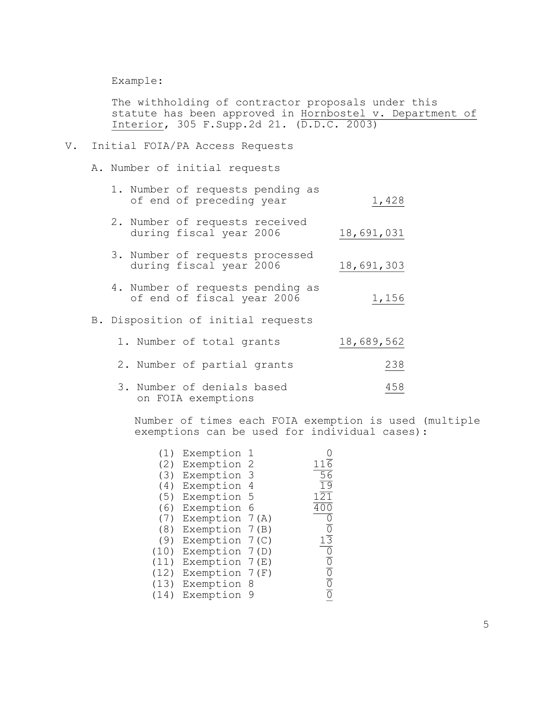Example:

The withholding of contractor proposals under this statute has been approved in Hornbostel v. Department of Interior, 305 F.Supp.2d 21. (D.D.C. 2003)

#### V. Initial FOIA/PA Access Requests

A. Number of initial requests

|  | 1. Number of requests pending as |       |
|--|----------------------------------|-------|
|  | of end of preceding year         | 1,428 |

- 2. Number of requests received during fiscal year 2006 18,691,031
- 3. Number of requests processed during fiscal year 2006 18,691,303
- 4. Number of requests pending as of end of fiscal year 2006 1,156

## B. Disposition of initial requests

|  | 1. Number of total grants                        | 18,689,562 |
|--|--------------------------------------------------|------------|
|  | 2. Number of partial grants                      | 238        |
|  | 3. Number of denials based<br>on FOIA exemptions | 458        |

Number of times each FOIA exemption is used (multiple exemptions can be used for individual cases):

| (1)  | Exemption        |     |                      |
|------|------------------|-----|----------------------|
| (2)  | Exemption 2      |     | $11\overline{6}$     |
| (3)  | Exemption        | З   | $\overline{56}$      |
| (4)  | Exemption        | 4   | $\overline{19}$      |
| (5)  | Exemption 5      |     | $1\overline{21}$     |
| (6)  | Exemption        | - 6 | 400                  |
| (7)  | Exemption $7(A)$ |     | 0                    |
| (8)  | Exemption 7(B)   |     | $\overline{0}$       |
| (9)  | Exemption $7(C)$ |     | $1\overline{3}$      |
| (10) | Exemption 7(D)   |     | $\overline{0}$       |
| (11) | Exemption $7(E)$ |     | $\overline{0}$       |
| (12) | Exemption $7(F)$ |     |                      |
| (13) | Exemption        | - 8 | $\frac{1}{\sqrt{1}}$ |
| (14) | Exemption        | 9   |                      |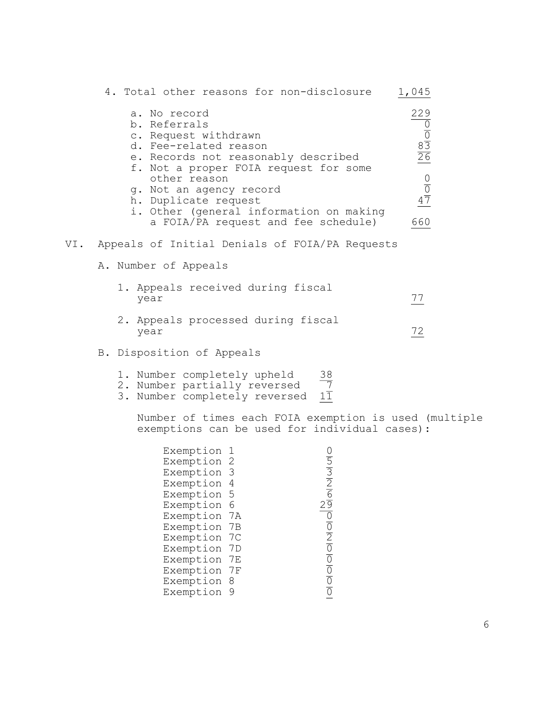|     | 4. Total other reasons for non-disclosure                                                                                                                                                                                                                                                                          | 1,045                                                                                    |
|-----|--------------------------------------------------------------------------------------------------------------------------------------------------------------------------------------------------------------------------------------------------------------------------------------------------------------------|------------------------------------------------------------------------------------------|
|     | a. No record<br>b. Referrals<br>c. Request withdrawn<br>d. Fee-related reason<br>e. Records not reasonably described<br>f. Not a proper FOIA request for some<br>other reason<br>g. Not an agency record<br>h. Duplicate request<br>i. Other (general information on making<br>a FOIA/PA request and fee schedule) | 229<br>$\frac{0}{20}$ $\frac{8}{20}$ $\frac{0}{20}$ $\frac{0}{20}$ $\frac{0}{20}$<br>660 |
| VI. | Appeals of Initial Denials of FOIA/PA Requests                                                                                                                                                                                                                                                                     |                                                                                          |
|     | A. Number of Appeals                                                                                                                                                                                                                                                                                               |                                                                                          |
|     | 1. Appeals received during fiscal<br>year                                                                                                                                                                                                                                                                          | $\frac{77}{2}$                                                                           |
|     | 2. Appeals processed during fiscal<br>year                                                                                                                                                                                                                                                                         | $\frac{72}{2}$                                                                           |
|     | B. Disposition of Appeals                                                                                                                                                                                                                                                                                          |                                                                                          |
|     | 1. Number completely upheld<br>$\frac{38}{11}$<br>2. Number partially reversed<br>3. Number completely reversed                                                                                                                                                                                                    |                                                                                          |
|     | Number of times each FOIA exemption is used (multiple<br>exemptions can be used for individual cases):                                                                                                                                                                                                             |                                                                                          |
|     | Exemption 1<br>$\frac{0}{2}$ $\frac{0}{2}$<br>Exemption 2<br>Exemption 3<br>Exemption 4<br>$\frac{2}{\sqrt{10}}\frac{1}{\sqrt{10}}$<br>Exemption 5<br>Exemption 6<br>Exemption 7A<br>Exemption 7B<br>Exemption 7C<br>Exemption 7D<br>Exemption 7E<br>Exemption 7F<br>Exemption 8                                   |                                                                                          |

Exemption 9  $\overline{0}$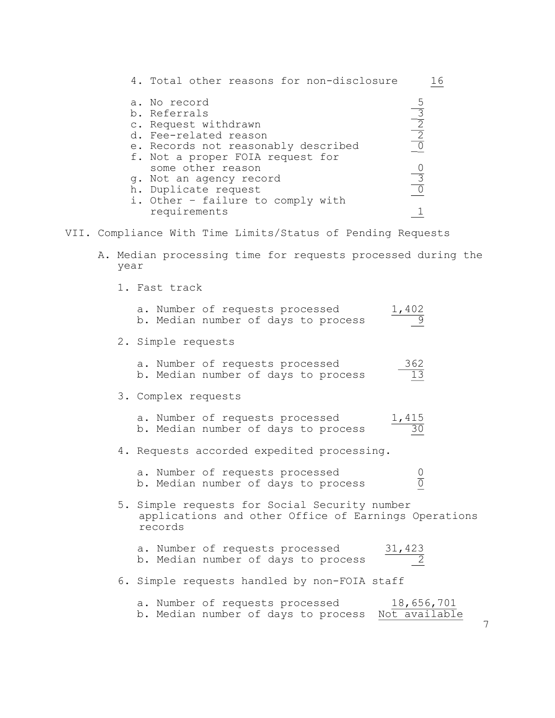|  | 4. Total other reasons for non-disclosure                                                                                                                                                                                                                                             |  | 16                                                                |
|--|---------------------------------------------------------------------------------------------------------------------------------------------------------------------------------------------------------------------------------------------------------------------------------------|--|-------------------------------------------------------------------|
|  | a. No record<br>b. Referrals<br>c. Request withdrawn<br>d. Fee-related reason<br>e. Records not reasonably described<br>f. Not a proper FOIA request for<br>some other reason<br>q. Not an agency record<br>h. Duplicate request<br>i. Other - failure to comply with<br>requirements |  | $\frac{5}{2}$ $\frac{2}{2}$ $\frac{5}{2}$<br>$\frac{0}{\sqrt{3}}$ |
|  | VII. Compliance With Time Limits/Status of Pending Requests                                                                                                                                                                                                                           |  |                                                                   |
|  | A. Median processing time for requests processed during the<br>year                                                                                                                                                                                                                   |  |                                                                   |
|  | 1. Fast track                                                                                                                                                                                                                                                                         |  |                                                                   |

| a. Number of requests processed<br>$\frac{1,402}{9}$<br>b. Median number of days to process                      |
|------------------------------------------------------------------------------------------------------------------|
| 2. Simple requests                                                                                               |
| a. Number of requests processed<br>$\frac{362}{13}$<br>b. Median number of days to process                       |
| 3. Complex requests                                                                                              |
| a. Number of requests processed<br>$\frac{1,415}{30}$<br>b. Median number of days to process                     |
| 4. Requests accorded expedited processing.                                                                       |
| a. Number of requests processed<br>$\frac{0}{0}$<br>b. Median number of days to process                          |
| 5. Simple requests for Social Security number<br>applications and other Office of Earnings Operations<br>records |
| a. Number of requests processed<br>$\frac{31,423}{2}$<br>b. Median number of days to process                     |
| 6. Simple requests handled by non-FOIA staff                                                                     |
|                                                                                                                  |

a. Number of requests processed 18,656,701 b. Median number of days to process Not available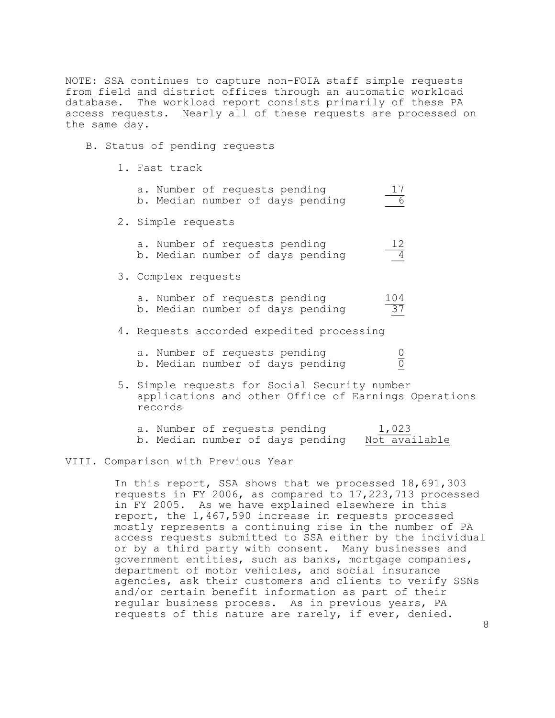NOTE: SSA continues to capture non-FOIA staff simple requests from field and district offices through an automatic workload database. The workload report consists primarily of these PA access requests. Nearly all of these requests are processed on the same day.

#### B. Status of pending requests

1. Fast track

|  | a. Number of requests pending<br>b. Median number of days pending                                     | 17<br>6                |  |
|--|-------------------------------------------------------------------------------------------------------|------------------------|--|
|  | 2. Simple requests                                                                                    |                        |  |
|  | a. Number of requests pending<br>b. Median number of days pending                                     | 12<br>$\overline{4}$   |  |
|  | 3. Complex requests                                                                                   |                        |  |
|  | a. Number of requests pending<br>b. Median number of days pending                                     | 104<br>$\overline{37}$ |  |
|  | 4. Requests accorded expedited processing                                                             |                        |  |
|  | a. Number of requests pending<br>b. Median number of days pending                                     |                        |  |
|  | 5. Simple requests for Social Security number<br>applications and other Office of Earnings Operations |                        |  |

|  | a. Number of requests pending    | 1,023         |
|--|----------------------------------|---------------|
|  | b. Median number of days pending | Not available |

#### VIII. Comparison with Previous Year

records

In this report, SSA shows that we processed 18,691,303 requests in FY 2006, as compared to 17,223,713 processed in FY 2005. As we have explained elsewhere in this report, the 1,467,590 increase in requests processed mostly represents a continuing rise in the number of PA access requests submitted to SSA either by the individual or by a third party with consent. Many businesses and government entities, such as banks, mortgage companies, department of motor vehicles, and social insurance agencies, ask their customers and clients to verify SSNs and/or certain benefit information as part of their regular business process. As in previous years, PA requests of this nature are rarely, if ever, denied.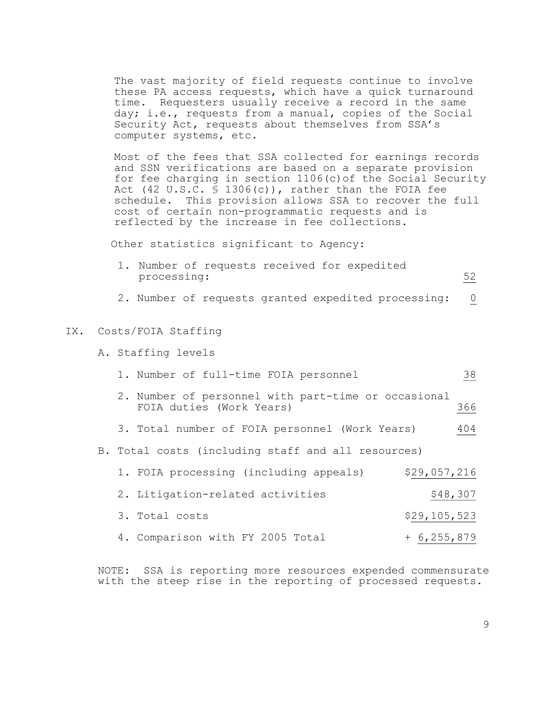The vast majority of field requests continue to involve these PA access requests, which have a quick turnaround time. Requesters usually receive a record in the same day; i.e., requests from a manual, copies of the Social Security Act, requests about themselves from SSA's computer systems, etc.

Most of the fees that SSA collected for earnings records and SSN verifications are based on a separate provision for fee charging in section 1106(c)of the Social Security Act (42 U.S.C. § 1306(c)), rather than the FOIA fee schedule. This provision allows SSA to recover the full cost of certain non-programmatic requests and is reflected by the increase in fee collections.

Other statistics significant to Agency:

|             |  |  | 1. Number of requests received for expedited |  |
|-------------|--|--|----------------------------------------------|--|
| processing: |  |  |                                              |  |

2. Number of requests granted expedited processing: 0

#### IX. Costs/FOIA Staffing

- A. Staffing levels
	- 1. Number of full-time FOIA personnel 38
	- 2. Number of personnel with part-time or occasional FOIA duties (Work Years) 366
	- 3. Total number of FOIA personnel (Work Years) 404
- B. Total costs (including staff and all resources)

| 1. FOIA processing (including appeals) | \$29,057,216    |
|----------------------------------------|-----------------|
| 2. Litigation-related activities       | \$48,307        |
| 3. Total costs                         | \$29,105,523    |
| 4. Comparison with FY 2005 Total       | $+ 6, 255, 879$ |

NOTE: SSA is reporting more resources expended commensurate with the steep rise in the reporting of processed requests.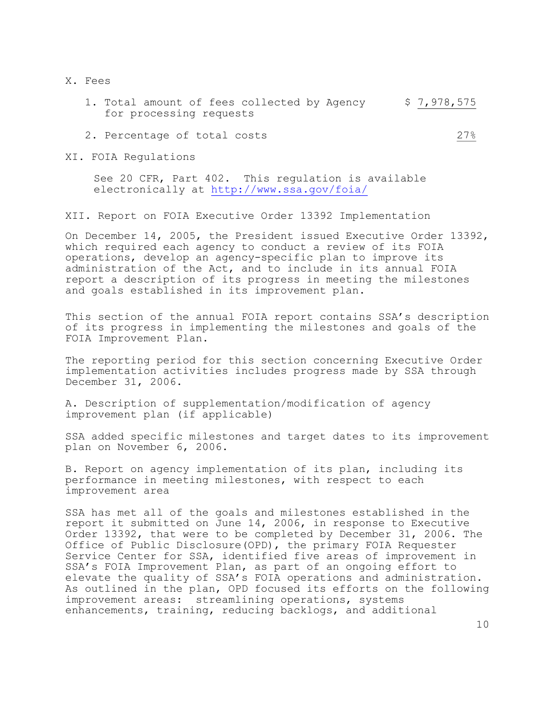X. Fees

- 1. Total amount of fees collected by Agency  $$7,978,575$ for processing requests
- 2. Percentage of total costs  $27\%$

XI. FOIA Regulations

See 20 CFR, Part 402. This regulation is available electronically at<http://www.ssa.gov/foia/>

XII. Report on FOIA Executive Order 13392 Implementation

On December 14, 2005, the President issued Executive Order 13392, which required each agency to conduct a review of its FOIA operations, develop an agency-specific plan to improve its administration of the Act, and to include in its annual FOIA report a description of its progress in meeting the milestones and goals established in its improvement plan.

This section of the annual FOIA report contains SSA's description of its progress in implementing the milestones and goals of the FOIA Improvement Plan.

The reporting period for this section concerning Executive Order implementation activities includes progress made by SSA through December 31, 2006.

A. Description of supplementation/modification of agency improvement plan (if applicable)

SSA added specific milestones and target dates to its improvement plan on November 6, 2006.

B. Report on agency implementation of its plan, including its performance in meeting milestones, with respect to each improvement area

SSA has met all of the goals and milestones established in the report it submitted on June 14, 2006, in response to Executive Order 13392, that were to be completed by December 31, 2006. The Office of Public Disclosure(OPD), the primary FOIA Requester Service Center for SSA, identified five areas of improvement in SSA's FOIA Improvement Plan, as part of an ongoing effort to elevate the quality of SSA's FOIA operations and administration. As outlined in the plan, OPD focused its efforts on the following improvement areas: streamlining operations, systems enhancements, training, reducing backlogs, and additional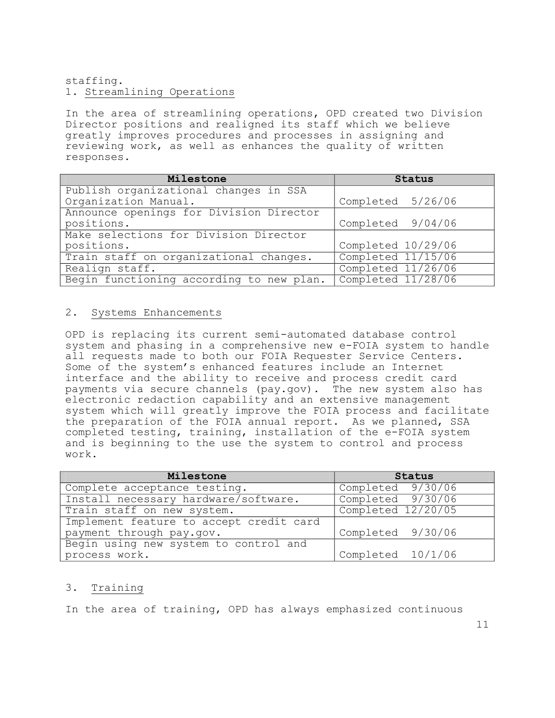## staffing. 1. Streamlining Operations

In the area of streamlining operations, OPD created two Division Director positions and realigned its staff which we believe greatly improves procedures and processes in assigning and reviewing work, as well as enhances the quality of written responses.

| Milestone                                | Status             |  |  |
|------------------------------------------|--------------------|--|--|
| Publish organizational changes in SSA    |                    |  |  |
| Organization Manual.                     | Completed 5/26/06  |  |  |
| Announce openings for Division Director  |                    |  |  |
| positions.                               | Completed 9/04/06  |  |  |
| Make selections for Division Director    |                    |  |  |
| positions.                               | Completed 10/29/06 |  |  |
| Train staff on organizational changes.   | Completed 11/15/06 |  |  |
| Realign staff.                           | Completed 11/26/06 |  |  |
| Begin functioning according to new plan. | Completed 11/28/06 |  |  |

## 2. Systems Enhancements

OPD is replacing its current semi-automated database control system and phasing in a comprehensive new e-FOIA system to handle all requests made to both our FOIA Requester Service Centers. Some of the system's enhanced features include an Internet interface and the ability to receive and process credit card payments via secure channels (pay.gov). The new system also has electronic redaction capability and an extensive management system which will greatly improve the FOIA process and facilitate the preparation of the FOIA annual report. As we planned, SSA completed testing, training, installation of the e-FOIA system and is beginning to the use the system to control and process work.

| Milestone                               | Status             |
|-----------------------------------------|--------------------|
| Complete acceptance testing.            | Completed 9/30/06  |
| Install necessary hardware/software.    | Completed 9/30/06  |
| Train staff on new system.              | Completed 12/20/05 |
| Implement feature to accept credit card |                    |
| payment through pay.gov.                | Completed 9/30/06  |
| Begin using new system to control and   |                    |
| process work.                           | Completed 10/1/06  |

#### 3. Training

In the area of training, OPD has always emphasized continuous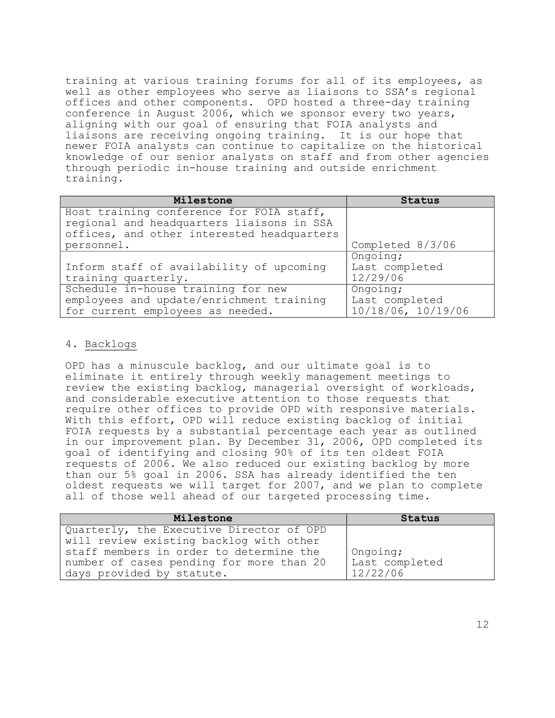training at various training forums for all of its employees, as well as other employees who serve as liaisons to SSA's regional offices and other components. OPD hosted a three-day training conference in August 2006, which we sponsor every two years, aligning with our goal of ensuring that FOIA analysts and liaisons are receiving ongoing training. It is our hope that newer FOIA analysts can continue to capitalize on the historical knowledge of our senior analysts on staff and from other agencies through periodic in-house training and outside enrichment training.

| Milestone                                                                                                                           | Status                                           |
|-------------------------------------------------------------------------------------------------------------------------------------|--------------------------------------------------|
| Host training conference for FOIA staff,<br>regional and headquarters liaisons in SSA<br>offices, and other interested headquarters |                                                  |
| personnel.                                                                                                                          | Completed 8/3/06                                 |
| Inform staff of availability of upcoming<br>training quarterly.                                                                     | Ongoing;<br>Last completed<br>12/29/06           |
| Schedule in-house training for new<br>employees and update/enrichment training<br>for current employees as needed.                  | Ongoing;<br>Last completed<br>10/18/06, 10/19/06 |

# 4. Backlogs

OPD has a minuscule backlog, and our ultimate goal is to eliminate it entirely through weekly management meetings to review the existing backlog, managerial oversight of workloads, and considerable executive attention to those requests that require other offices to provide OPD with responsive materials. With this effort, OPD will reduce existing backlog of initial FOIA requests by a substantial percentage each year as outlined in our improvement plan. By December 31, 2006, OPD completed its goal of identifying and closing 90% of its ten oldest FOIA requests of 2006. We also reduced our existing backlog by more than our 5% goal in 2006. SSA has already identified the ten oldest requests we will target for 2007, and we plan to complete all of those well ahead of our targeted processing time.

| Milestone                                | Status         |
|------------------------------------------|----------------|
| Quarterly, the Executive Director of OPD |                |
| will review existing backlog with other  |                |
| staff members in order to determine the  | Ongoing;       |
| number of cases pending for more than 20 | Last completed |
| days provided by statute.                | 12/22/06       |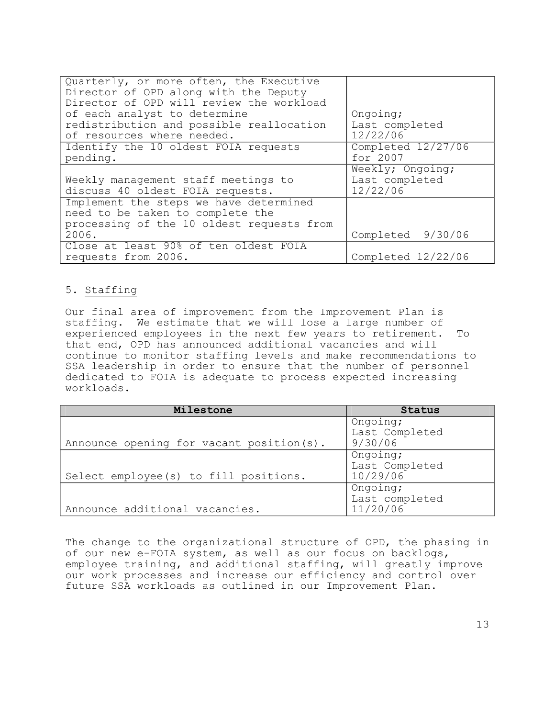| Quarterly, or more often, the Executive<br>Director of OPD along with the Deputy<br>Director of OPD will review the workload |                            |
|------------------------------------------------------------------------------------------------------------------------------|----------------------------|
| of each analyst to determine                                                                                                 | Ongoing;                   |
| redistribution and possible reallocation<br>of resources where needed.                                                       | Last completed<br>12/22/06 |
| Identify the 10 oldest FOIA requests                                                                                         | Completed 12/27/06         |
| pending.                                                                                                                     | for 2007                   |
|                                                                                                                              | Weekly; Ongoing;           |
| Weekly management staff meetings to                                                                                          | Last completed             |
| discuss 40 oldest FOIA requests.                                                                                             | 12/22/06                   |
| Implement the steps we have determined                                                                                       |                            |
| need to be taken to complete the                                                                                             |                            |
| processing of the 10 oldest requests from                                                                                    |                            |
| 2006.                                                                                                                        | Completed 9/30/06          |
| Close at least 90% of ten oldest FOIA                                                                                        |                            |
| requests from 2006.                                                                                                          | Completed 12/22/06         |

# 5. Staffing

Our final area of improvement from the Improvement Plan is staffing. We estimate that we will lose a large number of<br>experienced employees in the next few years to retirement. To experienced employees in the next few years to retirement. that end, OPD has announced additional vacancies and will continue to monitor staffing levels and make recommendations to SSA leadership in order to ensure that the number of personnel dedicated to FOIA is adequate to process expected increasing workloads.

| Milestone                                 | Status                                 |
|-------------------------------------------|----------------------------------------|
| Announce opening for vacant position (s). | Ongoing;<br>Last Completed<br>9/30/06  |
| Select employee(s) to fill positions.     | Ongoing;<br>Last Completed<br>10/29/06 |
| Announce additional vacancies.            | Ongoing;<br>Last completed<br>11/20/06 |

The change to the organizational structure of OPD, the phasing in of our new e-FOIA system, as well as our focus on backlogs, employee training, and additional staffing, will greatly improve our work processes and increase our efficiency and control over future SSA workloads as outlined in our Improvement Plan.